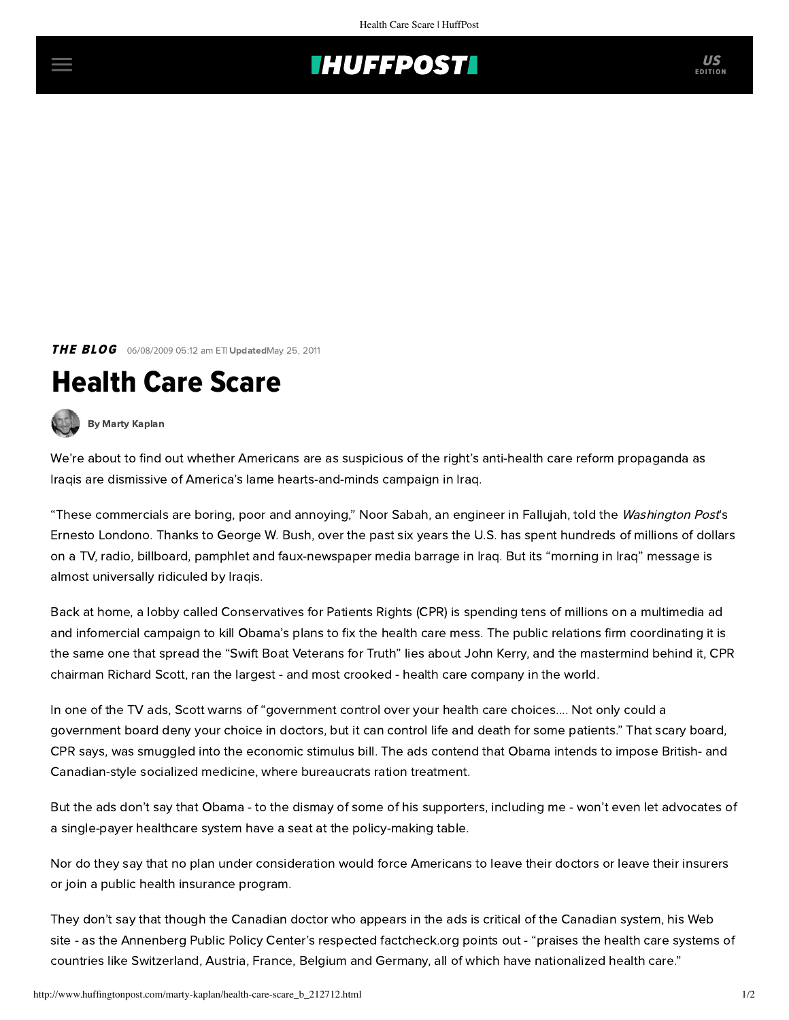## **INUFFPOSTI** US

## **THE BLOG** 06/08/2009 05:12 am ETI UpdatedMay 25, 2011

## Health Care Scare



[By Marty Kaplan](http://www.huffingtonpost.com/author/marty-kaplan)

We're about to find out whether Americans are as suspicious of the right's anti-health care reform propaganda as Iraqis are dismissive of America's lame hearts-and-minds campaign in Iraq.

"These commercials are boring, poor and annoying," Noor Sabah, an engineer in Fallujah, told the Washington Post's [Ernesto Londono](http://www.washingtonpost.com/wp-dyn/content/article/2009/06/06/AR2009060602144_3.html). Thanks to George W. Bush, over the past six years the U.S. has spent hundreds of millions of dollars on a TV, radio, billboard, pamphlet and faux-newspaper media barrage in Iraq. But its "morning in Iraq" message is almost universally ridiculed by Iraqis.

[Back at home, a lobby called Conservatives for Patients Rights \(CPR\) is spending tens of millions on a multimedia ad](http://mediamattersaction.org/video/200904270006) and infomercial campaign to kill Obama's plans to fix the health care mess. The public relations firm coordinating it is the same one that spread the "Swift Boat Veterans for Truth" lies about John Kerry, and the mastermind behind it, CPR chairman [Richard Scott,](http://mediamattersaction.org/search/tag/richard_l__scott) ran the largest - and most crooked - health care company in the world.

In one of the TV ads, Scott warns of "government control over your health care choices.... Not only could a government board deny your choice in doctors, but it can control life and death for some patients." That scary board, CPR says, was smuggled into the economic stimulus bill. The ads contend that Obama intends to impose British- and Canadian-style socialized medicine, where bureaucrats ration treatment.

But the ads don't say that Obama - to the dismay of some of his supporters, including me - won't even let advocates of a single-payer healthcare system have a seat at the policy-making table.

Nor do they say that no plan under consideration would force Americans to leave their doctors or leave their insurers or join a public health insurance program.

They don't say that though the Canadian doctor who appears in the ads is critical of the Canadian system, his Web site - as the Annenberg Public Policy Center's respected [factcheck.org](http://www.factcheck.org/politics/government-run_health_care.html) points out - "praises the health care systems of countries like Switzerland, Austria, France, Belgium and Germany, all of which have nationalized health care."